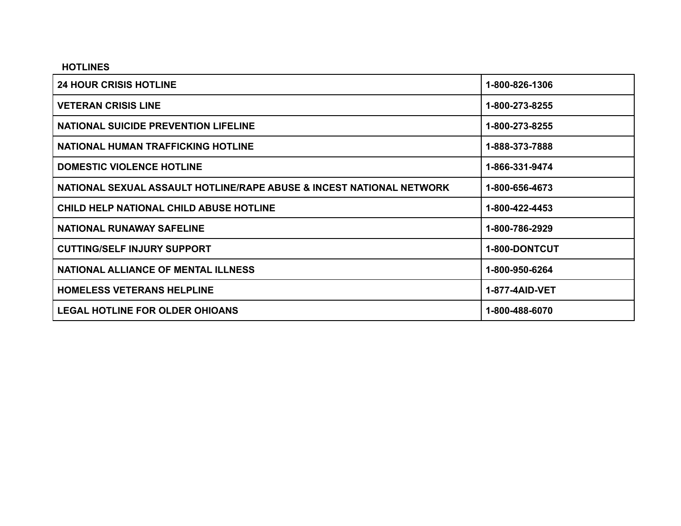#### **HOTLINES**

| <b>24 HOUR CRISIS HOTLINE</b>                                        | 1-800-826-1306 |
|----------------------------------------------------------------------|----------------|
| <b>VETERAN CRISIS LINE</b>                                           | 1-800-273-8255 |
| <b>NATIONAL SUICIDE PREVENTION LIFELINE</b>                          | 1-800-273-8255 |
| <b>NATIONAL HUMAN TRAFFICKING HOTLINE</b>                            | 1-888-373-7888 |
| <b>DOMESTIC VIOLENCE HOTLINE</b>                                     | 1-866-331-9474 |
| NATIONAL SEXUAL ASSAULT HOTLINE/RAPE ABUSE & INCEST NATIONAL NETWORK | 1-800-656-4673 |
| <b>CHILD HELP NATIONAL CHILD ABUSE HOTLINE</b>                       | 1-800-422-4453 |
| <b>NATIONAL RUNAWAY SAFELINE</b>                                     | 1-800-786-2929 |
| <b>CUTTING/SELF INJURY SUPPORT</b>                                   | 1-800-DONTCUT  |
| <b>NATIONAL ALLIANCE OF MENTAL ILLNESS</b>                           | 1-800-950-6264 |
| <b>HOMELESS VETERANS HELPLINE</b>                                    | 1-877-4AID-VET |
| <b>LEGAL HOTLINE FOR OLDER OHIOANS</b>                               | 1-800-488-6070 |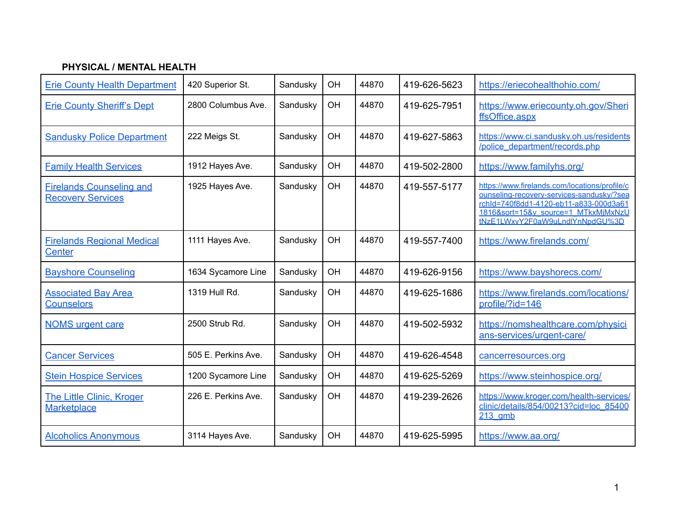### **PHYSICAL / MENTAL HEALTH**

| <b>Erie County Health Department</b>                        | 420 Superior St.    | Sandusky | OН | 44870 | 419-626-5623 | https://eriecohealthohio.com/                                                                                                                                                                                  |
|-------------------------------------------------------------|---------------------|----------|----|-------|--------------|----------------------------------------------------------------------------------------------------------------------------------------------------------------------------------------------------------------|
| <b>Erie County Sheriff's Dept</b>                           | 2800 Columbus Ave.  | Sandusky | OH | 44870 | 419-625-7951 | https://www.eriecounty.oh.gov/Sheri<br>ffsOffice.aspx                                                                                                                                                          |
| <b>Sandusky Police Department</b>                           | 222 Meigs St.       | Sandusky | OH | 44870 | 419-627-5863 | https://www.ci.sandusky.oh.us/residents<br>/police_department/records.php                                                                                                                                      |
| <b>Family Health Services</b>                               | 1912 Hayes Ave.     | Sandusky | OH | 44870 | 419-502-2800 | https://www.familyhs.org/                                                                                                                                                                                      |
| <b>Firelands Counseling and</b><br><b>Recovery Services</b> | 1925 Hayes Ave.     | Sandusky | OH | 44870 | 419-557-5177 | https://www.firelands.com/locations/profile/c<br>ounseling-recovery-services-sandusky/?sea<br>rchld=740f8dd1-4120-eb11-a833-000d3a61<br>1816&sort=15&y source=1 MTkxMjMxNzU<br>tNzE1LWxvY2F0aW9uLndlYnNpdGU%3D |
| <b>Firelands Regional Medical</b><br>Center                 | 1111 Hayes Ave.     | Sandusky | OH | 44870 | 419-557-7400 | https://www.firelands.com/                                                                                                                                                                                     |
| <b>Bayshore Counseling</b>                                  | 1634 Sycamore Line  | Sandusky | OH | 44870 | 419-626-9156 | https://www.bayshorecs.com/                                                                                                                                                                                    |
| <b>Associated Bay Area</b><br><b>Counselors</b>             | 1319 Hull Rd.       | Sandusky | OH | 44870 | 419-625-1686 | https://www.firelands.com/locations/<br>profile/?id=146                                                                                                                                                        |
| <b>NOMS</b> urgent care                                     | 2500 Strub Rd.      | Sandusky | OH | 44870 | 419-502-5932 | https://nomshealthcare.com/physici<br>ans-services/urgent-care/                                                                                                                                                |
| <b>Cancer Services</b>                                      | 505 E. Perkins Ave. | Sandusky | OH | 44870 | 419-626-4548 | cancerresources.org                                                                                                                                                                                            |
| <b>Stein Hospice Services</b>                               | 1200 Sycamore Line  | Sandusky | OH | 44870 | 419-625-5269 | https://www.steinhospice.org/                                                                                                                                                                                  |
| The Little Clinic, Kroger<br><b>Marketplace</b>             | 226 E. Perkins Ave. | Sandusky | OH | 44870 | 419-239-2626 | https://www.kroger.com/health-services/<br>clinic/details/854/00213?cid=loc 85400<br>$213$ amb                                                                                                                 |
| <b>Alcoholics Anonymous</b>                                 | 3114 Hayes Ave.     | Sandusky | OH | 44870 | 419-625-5995 | https://www.aa.org/                                                                                                                                                                                            |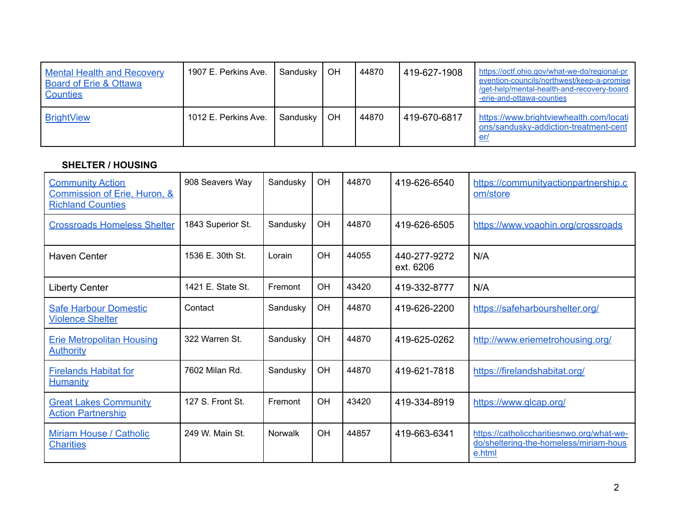| <b>Mental Health and Recovery</b><br>Board of Erie & Ottawa<br>Counties | 1907 E. Perkins Ave. | Sandusky | OH        | 44870 | 419-627-1908 | https://octf.ohio.gov/what-we-do/regional-pr<br>evention-councils/northwest/keep-a-promise<br>/get-help/mental-health-and-recovery-board<br>-erie-and-ottawa-counties |
|-------------------------------------------------------------------------|----------------------|----------|-----------|-------|--------------|-----------------------------------------------------------------------------------------------------------------------------------------------------------------------|
| <b>BrightView</b>                                                       | 1012 E. Perkins Ave. | Sandusky | <b>OH</b> | 44870 | 419-670-6817 | https://www.brightviewhealth.com/locati<br>ons/sandusky-addiction-treatment-cent<br>er.                                                                               |

# **SHELTER / HOUSING**

| <b>Community Action</b><br>Commission of Erie, Huron, &<br><b>Richland Counties</b> | 908 Seavers Way   | Sandusky       | OH        | 44870 | 419-626-6540              | https://communityactionpartnership.c<br>om/store                                              |
|-------------------------------------------------------------------------------------|-------------------|----------------|-----------|-------|---------------------------|-----------------------------------------------------------------------------------------------|
| <b>Crossroads Homeless Shelter</b>                                                  | 1843 Superior St. | Sandusky       | OH        | 44870 | 419-626-6505              | https://www.voaohin.org/crossroads                                                            |
| Haven Center                                                                        | 1536 E. 30th St.  | Lorain         | OH        | 44055 | 440-277-9272<br>ext. 6206 | N/A                                                                                           |
| <b>Liberty Center</b>                                                               | 1421 E. State St. | Fremont        | <b>OH</b> | 43420 | 419-332-8777              | N/A                                                                                           |
| <b>Safe Harbour Domestic</b><br><b>Violence Shelter</b>                             | Contact           | Sandusky       | <b>OH</b> | 44870 | 419-626-2200              | https://safeharbourshelter.org/                                                               |
| <b>Erie Metropolitan Housing</b><br><u>Authority</u>                                | 322 Warren St.    | Sandusky       | <b>OH</b> | 44870 | 419-625-0262              | http://www.eriemetrohousing.org/                                                              |
| <b>Firelands Habitat for</b><br><u>Humanity</u>                                     | 7602 Milan Rd.    | Sandusky       | <b>OH</b> | 44870 | 419-621-7818              | https://firelandshabitat.org/                                                                 |
| <b>Great Lakes Community</b><br><b>Action Partnership</b>                           | 127 S. Front St.  | Fremont        | OH        | 43420 | 419-334-8919              | https://www.glcap.org/                                                                        |
| Miriam House / Catholic<br><b>Charities</b>                                         | 249 W. Main St.   | <b>Norwalk</b> | <b>OH</b> | 44857 | 419-663-6341              | https://catholiccharitiesnwo.org/what-we-<br>do/sheltering-the-homeless/miriam-hous<br>e.html |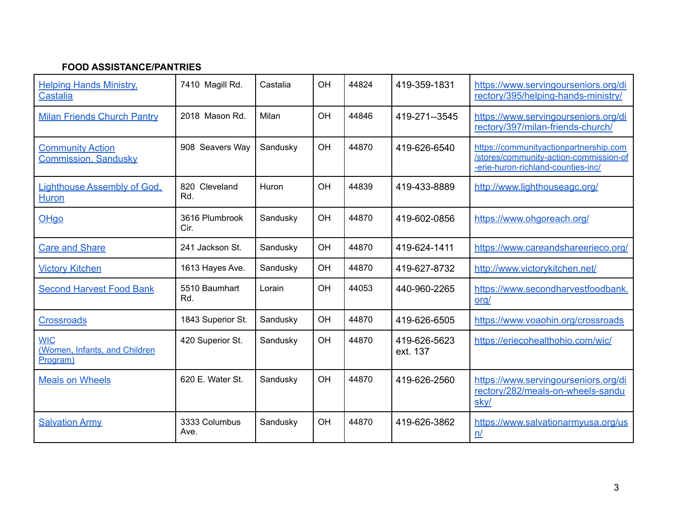## **FOOD ASSISTANCE/PANTRIES**

| <b>Helping Hands Ministry,</b><br><b>Castalia</b>       | 7410 Magill Rd.         | Castalia | OH        | 44824 | 419-359-1831             | https://www.servingourseniors.org/di<br>rectory/395/helping-hands-ministry/                                            |
|---------------------------------------------------------|-------------------------|----------|-----------|-------|--------------------------|------------------------------------------------------------------------------------------------------------------------|
| <b>Milan Friends Church Pantry</b>                      | 2018 Mason Rd.          | Milan    | <b>OH</b> | 44846 | 419-271--3545            | https://www.servingourseniors.org/di<br>rectory/397/milan-friends-church/                                              |
| <b>Community Action</b><br><b>Commission, Sandusky</b>  | 908 Seavers Way         | Sandusky | OH        | 44870 | 419-626-6540             | https://communityactionpartnership.com<br>/stores/community-action-commission-of<br>-erie-huron-richland-counties-inc/ |
| Lighthouse Assembly of God,<br><b>Huron</b>             | Cleveland<br>820<br>Rd. | Huron    | OH        | 44839 | 419-433-8889             | http://www.lighthouseagc.org/                                                                                          |
| OHgo                                                    | 3616 Plumbrook<br>Cir.  | Sandusky | OH        | 44870 | 419-602-0856             | https://www.ohgoreach.org/                                                                                             |
| <b>Care and Share</b>                                   | 241 Jackson St.         | Sandusky | <b>OH</b> | 44870 | 419-624-1411             | https://www.careandshareerieco.org/                                                                                    |
| <b>Victory Kitchen</b>                                  | 1613 Hayes Ave.         | Sandusky | OH        | 44870 | 419-627-8732             | http://www.victorykitchen.net/                                                                                         |
| <b>Second Harvest Food Bank</b>                         | 5510 Baumhart<br>Rd.    | Lorain   | OH        | 44053 | 440-960-2265             | https://www.secondharvestfoodbank.<br><u>org/</u>                                                                      |
| <b>Crossroads</b>                                       | 1843 Superior St.       | Sandusky | OH        | 44870 | 419-626-6505             | https://www.voaohin.org/crossroads                                                                                     |
| <b>WIC</b><br>(Women, Infants, and Children<br>Program) | 420 Superior St.        | Sandusky | OH        | 44870 | 419-626-5623<br>ext. 137 | https://eriecohealthohio.com/wic/                                                                                      |
| <b>Meals on Wheels</b>                                  | 620 E. Water St.        | Sandusky | OH        | 44870 | 419-626-2560             | https://www.servingourseniors.org/di<br>rectory/282/meals-on-wheels-sandu<br>sky/                                      |
| <b>Salvation Army</b>                                   | 3333 Columbus<br>Ave.   | Sandusky | OH        | 44870 | 419-626-3862             | https://www.salvationarmyusa.org/us<br>n/                                                                              |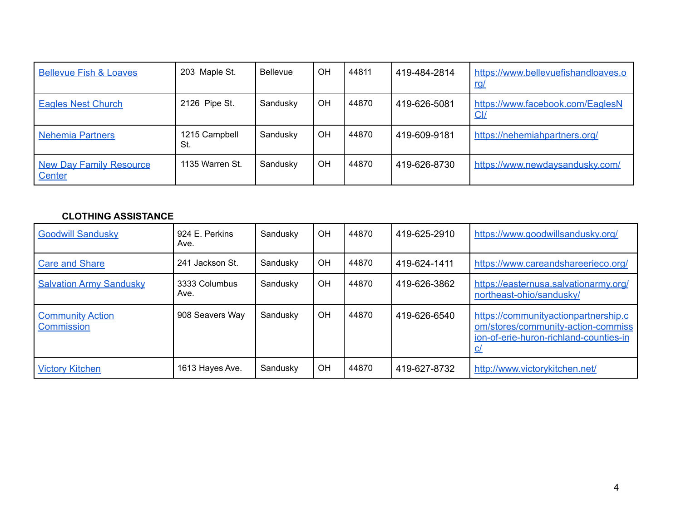| <b>Bellevue Fish &amp; Loaves</b>               | 203 Maple St.        | <b>Bellevue</b> | OН        | 44811 | 419-484-2814 | https://www.bellevuefishandloaves.o<br><u>rg/</u> |
|-------------------------------------------------|----------------------|-----------------|-----------|-------|--------------|---------------------------------------------------|
| <b>Eagles Nest Church</b>                       | 2126 Pipe St.        | Sandusky        | OH        | 44870 | 419-626-5081 | https://www.facebook.com/EaglesN<br><u>Cl/</u>    |
| <b>Nehemia Partners</b>                         | 1215 Campbell<br>St. | Sandusky        | <b>OH</b> | 44870 | 419-609-9181 | https://nehemiahpartners.org/                     |
| <b>New Day Family Resource</b><br><b>Center</b> | 1135 Warren St.      | Sandusky        | <b>OH</b> | 44870 | 419-626-8730 | https://www.newdaysandusky.com/                   |

### **CLOTHING ASSISTANCE**

| <b>Goodwill Sandusky</b>              | 924 E. Perkins<br>Ave. | Sandusky | OH        | 44870 | 419-625-2910 | https://www.goodwillsandusky.org/                                                                                          |
|---------------------------------------|------------------------|----------|-----------|-------|--------------|----------------------------------------------------------------------------------------------------------------------------|
| <b>Care and Share</b>                 | 241 Jackson St.        | Sandusky | OH        | 44870 | 419-624-1411 | https://www.careandshareerieco.org/                                                                                        |
| <b>Salvation Army Sandusky</b>        | 3333 Columbus<br>Ave.  | Sandusky | <b>OH</b> | 44870 | 419-626-3862 | https://easternusa.salvationarmy.org/<br>northeast-ohio/sandusky/                                                          |
| <b>Community Action</b><br>Commission | 908 Seavers Way        | Sandusky | <b>OH</b> | 44870 | 419-626-6540 | https://communityactionpartnership.c<br>om/stores/community-action-commiss<br>jon-of-erie-huron-richland-counties-in<br>C/ |
| <b>Victory Kitchen</b>                | 1613 Hayes Ave.        | Sandusky | OH        | 44870 | 419-627-8732 | http://www.victorykitchen.net/                                                                                             |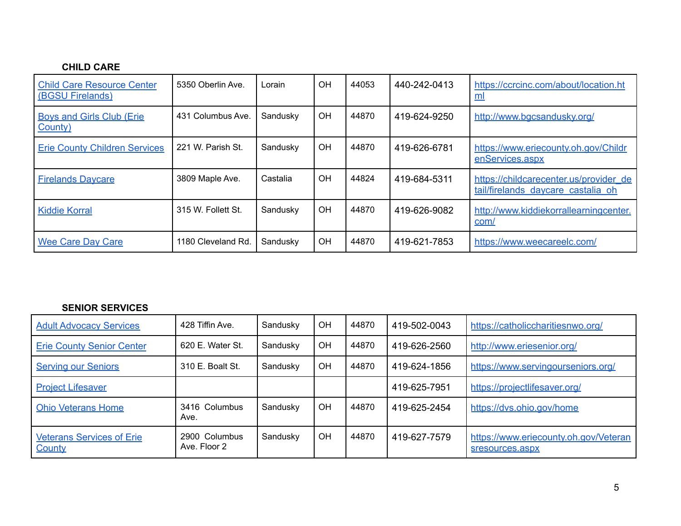### **CHILD CARE**

| <b>Child Care Resource Center</b><br>(BGSU Firelands) | 5350 Oberlin Ave.  | Lorain   | OH | 44053 | 440-242-0413 | https://ccrcinc.com/about/location.ht<br>ml                                  |
|-------------------------------------------------------|--------------------|----------|----|-------|--------------|------------------------------------------------------------------------------|
| <b>Boys and Girls Club (Erie)</b><br>County)          | 431 Columbus Ave.  | Sandusky | OH | 44870 | 419-624-9250 | http://www.bqcsandusky.org/                                                  |
| <b>Erie County Children Services</b>                  | 221 W. Parish St.  | Sandusky | OH | 44870 | 419-626-6781 | https://www.eriecounty.oh.gov/Childr<br>enServices.aspx                      |
| <b>Firelands Daycare</b>                              | 3809 Maple Ave.    | Castalia | OH | 44824 | 419-684-5311 | https://childcarecenter.us/provider_de<br>tail/firelands daycare castalia oh |
| <b>Kiddie Korral</b>                                  | 315 W. Follett St. | Sandusky | OH | 44870 | 419-626-9082 | http://www.kiddiekorrallearningcenter.<br>com/                               |
| <b>Wee Care Day Care</b>                              | 1180 Cleveland Rd. | Sandusky | OH | 44870 | 419-621-7853 | https://www.weecareelc.com/                                                  |

#### **SENIOR SERVICES**

| <b>Adult Advocacy Services</b>                    | 428 Tiffin Ave.               | Sandusky | OН | 44870 | 419-502-0043 | https://catholiccharitiesnwo.org/                        |
|---------------------------------------------------|-------------------------------|----------|----|-------|--------------|----------------------------------------------------------|
| <b>Erie County Senior Center</b>                  | 620 E. Water St.              | Sandusky | ΟH | 44870 | 419-626-2560 | http://www.eriesenior.org/                               |
| <b>Serving our Seniors</b>                        | 310 E. Boalt St.              | Sandusky | ΟH | 44870 | 419-624-1856 | https://www.servingourseniors.org/                       |
| <b>Project Lifesaver</b>                          |                               |          |    |       | 419-625-7951 | https://projectlifesaver.org/                            |
| <b>Ohio Veterans Home</b>                         | 3416 Columbus<br>Ave.         | Sandusky | OΗ | 44870 | 419-625-2454 | https://dvs.ohio.gov/home                                |
| <b>Veterans Services of Erie</b><br><b>County</b> | 2900 Columbus<br>Ave. Floor 2 | Sandusky | OH | 44870 | 419-627-7579 | https://www.eriecounty.oh.gov/Veteran<br>sresources.aspx |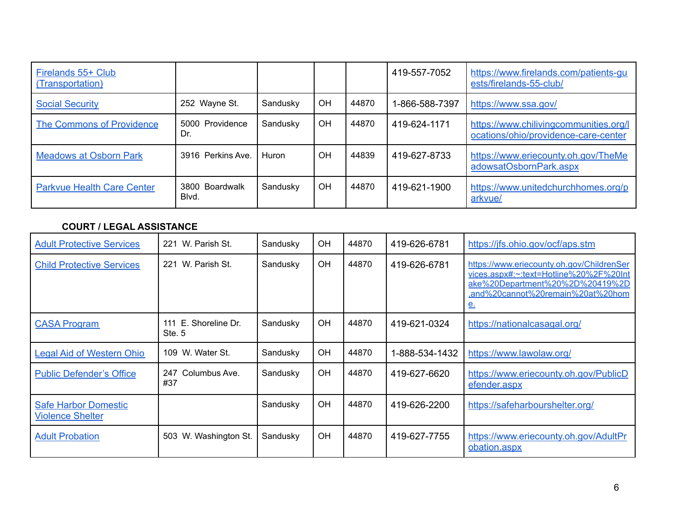| Firelands 55+ Club<br>(Transportation) |                         |          |    |       | 419-557-7052   | https://www.firelands.com/patients-qu<br>ests/firelands-55-club/               |
|----------------------------------------|-------------------------|----------|----|-------|----------------|--------------------------------------------------------------------------------|
| <b>Social Security</b>                 | 252 Wayne St.           | Sandusky | OH | 44870 | 1-866-588-7397 | https://www.ssa.gov/                                                           |
| <b>The Commons of Providence</b>       | 5000 Providence<br>Dr.  | Sandusky | OH | 44870 | 419-624-1171   | https://www.chilivingcommunities.org/l<br>ocations/ohio/providence-care-center |
| <b>Meadows at Osborn Park</b>          | 3916 Perkins Ave        | Huron    | OH | 44839 | 419-627-8733   | https://www.eriecounty.oh.gov/TheMe<br>adowsatOsbornPark.aspx                  |
| <b>Parkvue Health Care Center</b>      | 3800 Boardwalk<br>Blvd. | Sandusky | OH | 44870 | 419-621-1900   | https://www.unitedchurchhomes.org/p<br>arkvue/                                 |

### **COURT / LEGAL ASSISTANCE**

| <b>Adult Protective Services</b>                       | W. Parish St.<br>221              | Sandusky | OH | 44870 | 419-626-6781   | https://jfs.ohio.gov/ocf/aps.stm                                                                                                                                         |
|--------------------------------------------------------|-----------------------------------|----------|----|-------|----------------|--------------------------------------------------------------------------------------------------------------------------------------------------------------------------|
| <b>Child Protective Services</b>                       | 221<br>W. Parish St.              | Sandusky | OH | 44870 | 419-626-6781   | https://www.eriecounty.oh.gov/ChildrenSer<br>yices.aspx#:~:text=Hotline%20%2F%20Int<br>ake%20Department%20%2D%20419%2D<br>.and%20cannot%20remain%20at%20hom<br><u>e.</u> |
| <b>CASA Program</b>                                    | E. Shoreline Dr.<br>111<br>Ste. 5 | Sandusky | OH | 44870 | 419-621-0324   | https://nationalcasagal.org/                                                                                                                                             |
| <b>Legal Aid of Western Ohio</b>                       | W. Water St.<br>109               | Sandusky | OH | 44870 | 1-888-534-1432 | https://www.lawolaw.org/                                                                                                                                                 |
| <b>Public Defender's Office</b>                        | Columbus Ave.<br>247<br>#37       | Sandusky | OH | 44870 | 419-627-6620   | https://www.eriecounty.oh.gov/PublicD<br>efender.aspx                                                                                                                    |
| <b>Safe Harbor Domestic</b><br><b>Violence Shelter</b> |                                   | Sandusky | OH | 44870 | 419-626-2200   | https://safeharbourshelter.org/                                                                                                                                          |
| <b>Adult Probation</b>                                 | 503<br>W. Washington St.          | Sandusky | OH | 44870 | 419-627-7755   | https://www.eriecounty.oh.gov/AdultPr<br>obation.aspx                                                                                                                    |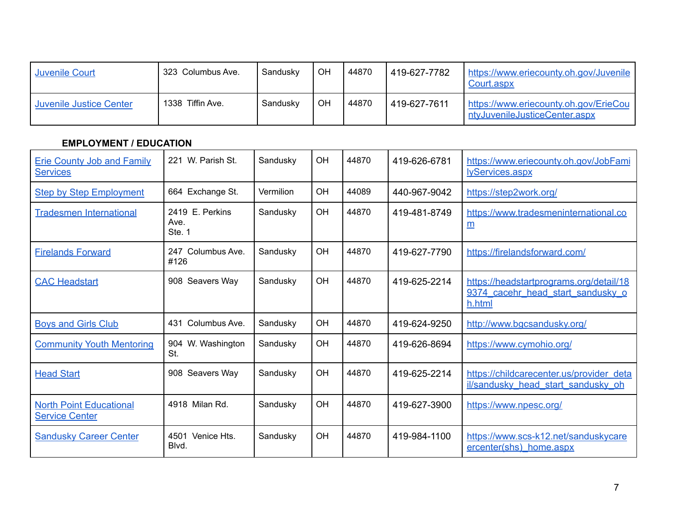| <b>Juvenile Court</b>   | 323 Columbus Ave. | Sandusky | OH | 44870 | 419-627-7782 | https://www.eriecounty.oh.gov/Juvenile<br>Court.aspx                   |
|-------------------------|-------------------|----------|----|-------|--------------|------------------------------------------------------------------------|
| Juvenile Justice Center | 1338 Tiffin Ave.  | Sandusky | OН | 44870 | 419-627-7611 | https://www.eriecounty.oh.gov/ErieCou<br>ntyJuvenileJusticeCenter.aspx |

# **EMPLOYMENT / EDUCATION**

| <b>Erie County Job and Family</b><br><b>Services</b>    | 221 W. Parish St.                 | Sandusky  | <b>OH</b> | 44870 | 419-626-6781 | https://www.eriecounty.oh.gov/JobFami<br>lyServices.aspx                               |
|---------------------------------------------------------|-----------------------------------|-----------|-----------|-------|--------------|----------------------------------------------------------------------------------------|
| <b>Step by Step Employment</b>                          | 664 Exchange St.                  | Vermilion | OH        | 44089 | 440-967-9042 | https://step2work.org/                                                                 |
| <b>Tradesmen International</b>                          | 2419 E. Perkins<br>Ave.<br>Ste. 1 | Sandusky  | OH        | 44870 | 419-481-8749 | https://www.tradesmeninternational.co<br>m                                             |
| <b>Firelands Forward</b>                                | Columbus Ave.<br>247<br>#126      | Sandusky  | OH        | 44870 | 419-627-7790 | https://firelandsforward.com/                                                          |
| <b>CAC Headstart</b>                                    | 908 Seavers Way                   | Sandusky  | <b>OH</b> | 44870 | 419-625-2214 | https://headstartprograms.org/detail/18<br>9374 cacehr head start sandusky o<br>h.html |
| <b>Boys and Girls Club</b>                              | Columbus Ave.<br>431              | Sandusky  | OH        | 44870 | 419-624-9250 | http://www.bgcsandusky.org/                                                            |
| <b>Community Youth Mentoring</b>                        | 904 W. Washington<br>St.          | Sandusky  | OH        | 44870 | 419-626-8694 | https://www.cymohio.org/                                                               |
| <b>Head Start</b>                                       | 908 Seavers Way                   | Sandusky  | OH        | 44870 | 419-625-2214 | https://childcarecenter.us/provider_deta<br>il/sandusky head start sandusky oh         |
| <b>North Point Educational</b><br><b>Service Center</b> | 4918 Milan Rd.                    | Sandusky  | <b>OH</b> | 44870 | 419-627-3900 | https://www.npesc.org/                                                                 |
| <b>Sandusky Career Center</b>                           | 4501 Venice Hts.<br>Blvd.         | Sandusky  | OH        | 44870 | 419-984-1100 | https://www.scs-k12.net/sanduskycare<br>ercenter(shs) home.aspx                        |